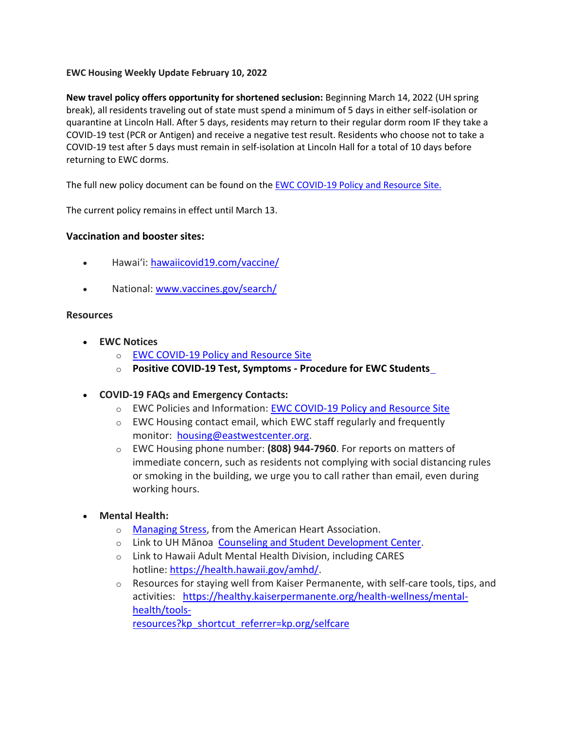## **EWC Housing Weekly Update February 10, 2022**

**New travel policy offers opportunity for shortened seclusion:** Beginning March 14, 2022 (UH spring break), all residents traveling out of state must spend a minimum of 5 days in either self-isolation or quarantine at Lincoln Hall. After 5 days, residents may return to their regular dorm room IF they take a COVID-19 test (PCR or Antigen) and receive a negative test result. Residents who choose not to take a COVID-19 test after 5 days must remain in self-isolation at Lincoln Hall for a total of 10 days before returning to EWC dorms.

The full new policy document can be found on th[e EWC COVID-19 Policy and Resource Site.](https://urldefense.proofpoint.com/v2/url?u=https-3A__ewcparticipantinfo.org_covid-2D19_&d=DwMFaQ&c=euGZstcaTDllvimEN8b7jXrwqOf-v5A_CdpgnVfiiMM&r=sjCoHaVUe8_a1MXsziR411ri4sB3BX3q50L3el6sXMQ&m=cKW8_SAAEjj8jDX3syie6Z9LlSMFYEAoD_mSHghoKw0&s=AoyQNJI--h5JIn_aBSI2dqjOUz8nh10KEPG9UWTjvu0&e=)

The current policy remains in effect until March 13.

## **Vaccination and booster sites:**

- Hawaiʻi: [hawaiicovid19.com/vaccine/](https://hawaiicovid19.com/vaccine/)
- National: [www.vaccines.gov/search/](https://urldefense.proofpoint.com/v2/url?u=https-3A__www.vaccines.gov_search_&d=DwMFaQ&c=euGZstcaTDllvimEN8b7jXrwqOf-v5A_CdpgnVfiiMM&r=sjCoHaVUe8_a1MXsziR411ri4sB3BX3q50L3el6sXMQ&m=cKW8_SAAEjj8jDX3syie6Z9LlSMFYEAoD_mSHghoKw0&s=W3IFJwPk1_MTZda8X3aMh1klDjezrmy6wX8KQ8ST5Jc&e=)

## **Resources**

- **EWC Notices**
	- o [EWC COVID-19 Policy and Resource Site](https://urldefense.proofpoint.com/v2/url?u=https-3A__ewcparticipantinfo.org_covid-2D19_&d=DwMFaQ&c=euGZstcaTDllvimEN8b7jXrwqOf-v5A_CdpgnVfiiMM&r=3FPQcXK5sxYRrGCCxQc5PNSb-_SuaL_bSgfyHLgu3XI&m=NeEuRGBZcB6XdPpyhoUn4swvNjBnveDWGZ1brp8cIwI&s=psWXjZhChjGDJkHaOVt2bwTJxxk1NVhXgu70sXTpbpE&e=)
	- o **Positive COVID-19 [Test, Symptoms](https://urldefense.proofpoint.com/v2/url?u=https-3A__ewcparticipantinfo.org_wp-2Dcontent_uploads_2021_11_Positive-2DTest-2DSymptoms-2DProcedure-2Dfor-2DStudents.pdf&d=DwMFaQ&c=euGZstcaTDllvimEN8b7jXrwqOf-v5A_CdpgnVfiiMM&r=sjCoHaVUe8_a1MXsziR411ri4sB3BX3q50L3el6sXMQ&m=cKW8_SAAEjj8jDX3syie6Z9LlSMFYEAoD_mSHghoKw0&s=juiByMwkjlISjTPURLmI3utdjGKse7kawccbIVALtIA&e=) - Procedure for EWC Students**
- **COVID-19 FAQs and Emergency Contacts:**
	- o EWC Policies and Information: [EWC COVID-19 Policy and Resource Site](https://urldefense.proofpoint.com/v2/url?u=https-3A__ewcparticipantinfo.org_covid-2D19_&d=DwMFaQ&c=euGZstcaTDllvimEN8b7jXrwqOf-v5A_CdpgnVfiiMM&r=3FPQcXK5sxYRrGCCxQc5PNSb-_SuaL_bSgfyHLgu3XI&m=NeEuRGBZcB6XdPpyhoUn4swvNjBnveDWGZ1brp8cIwI&s=psWXjZhChjGDJkHaOVt2bwTJxxk1NVhXgu70sXTpbpE&e=)
	- o EWC Housing contact email, which EWC staff regularly and frequently monitor: [housing@eastwestcenter.org.](mailto:housing@eastwestcenter.org)
	- o EWC Housing phone number: **(808) 944-7960**. For reports on matters of immediate concern, such as residents not complying with social distancing rules or smoking in the building, we urge you to call rather than email, even during working hours.
- **Mental Health:**
	- o [Managing Stress,](https://urldefense.proofpoint.com/v2/url?u=https-3A__www.heart.org_en_healthy-2Dliving_healthy-2Dlifestyle_stress-2Dmanagement_3-2Dtips-2Dto-2Dmanage-2Dstress&d=DwMFaQ&c=euGZstcaTDllvimEN8b7jXrwqOf-v5A_CdpgnVfiiMM&r=3FPQcXK5sxYRrGCCxQc5PNSb-_SuaL_bSgfyHLgu3XI&m=DFa_g2AmhabelwvrqHcTxuYqCMz5HzQYOl-ITmKQUfY&s=brkk3h1YsapP-lIVcxt7MNYAlm4bQtz7YKIJGofeUkY&e=) from the American Heart Association.
	- o Link to UH Mānoa [Counseling and Student Development Center.](https://urldefense.proofpoint.com/v2/url?u=http-3A__www.manoa.hawaii.edu_counseling&d=DwMFaQ&c=euGZstcaTDllvimEN8b7jXrwqOf-v5A_CdpgnVfiiMM&r=3FPQcXK5sxYRrGCCxQc5PNSb-_SuaL_bSgfyHLgu3XI&m=am0JUX--VmENU0jPP_iW6ma-yLR9-vpVCXYuYLP_pnQ&s=KLUr2I-87m8x7gT-LRZ1FsUmDxTlS04cGYG1bEY4eOo&e=)
	- o Link to Hawaii Adult Mental Health Division, including CARES hotline: [https://health.hawaii.gov/amhd/.](https://urldefense.proofpoint.com/v2/url?u=https-3A__health.hawaii.gov_amhd_&d=DwMFaQ&c=euGZstcaTDllvimEN8b7jXrwqOf-v5A_CdpgnVfiiMM&r=3FPQcXK5sxYRrGCCxQc5PNSb-_SuaL_bSgfyHLgu3XI&m=am0JUX--VmENU0jPP_iW6ma-yLR9-vpVCXYuYLP_pnQ&s=jGly2XqRyYGfSfcDeFQPHXOriK3LXX4ijFkZpV1I3l0&e=)
	- $\circ$  Resources for staying well from Kaiser Permanente, with self-care tools, tips, and activities: [https://healthy.kaiserpermanente.org/health-wellness/mental](https://urldefense.proofpoint.com/v2/url?u=https-3A__healthy.kaiserpermanente.org_health-2Dwellness_mental-2Dhealth_tools-2Dresources-3Fkp-5Fshortcut-5Freferrer-3Dkp.org_selfcare&d=DwMFaQ&c=euGZstcaTDllvimEN8b7jXrwqOf-v5A_CdpgnVfiiMM&r=3FPQcXK5sxYRrGCCxQc5PNSb-_SuaL_bSgfyHLgu3XI&m=Rbwxxn-uK8FQYTkEAvPhMEKvL03Z3qaRx6Mfv78EfmQ&s=WgR2DHjakUKCqJM0vJM8s8S_NAf2yZItFCWP7XTUlcc&e=)[health/tools-](https://urldefense.proofpoint.com/v2/url?u=https-3A__healthy.kaiserpermanente.org_health-2Dwellness_mental-2Dhealth_tools-2Dresources-3Fkp-5Fshortcut-5Freferrer-3Dkp.org_selfcare&d=DwMFaQ&c=euGZstcaTDllvimEN8b7jXrwqOf-v5A_CdpgnVfiiMM&r=3FPQcXK5sxYRrGCCxQc5PNSb-_SuaL_bSgfyHLgu3XI&m=Rbwxxn-uK8FQYTkEAvPhMEKvL03Z3qaRx6Mfv78EfmQ&s=WgR2DHjakUKCqJM0vJM8s8S_NAf2yZItFCWP7XTUlcc&e=)

[resources?kp\\_shortcut\\_referrer=kp.org/selfcare](https://urldefense.proofpoint.com/v2/url?u=https-3A__healthy.kaiserpermanente.org_health-2Dwellness_mental-2Dhealth_tools-2Dresources-3Fkp-5Fshortcut-5Freferrer-3Dkp.org_selfcare&d=DwMFaQ&c=euGZstcaTDllvimEN8b7jXrwqOf-v5A_CdpgnVfiiMM&r=3FPQcXK5sxYRrGCCxQc5PNSb-_SuaL_bSgfyHLgu3XI&m=Rbwxxn-uK8FQYTkEAvPhMEKvL03Z3qaRx6Mfv78EfmQ&s=WgR2DHjakUKCqJM0vJM8s8S_NAf2yZItFCWP7XTUlcc&e=)